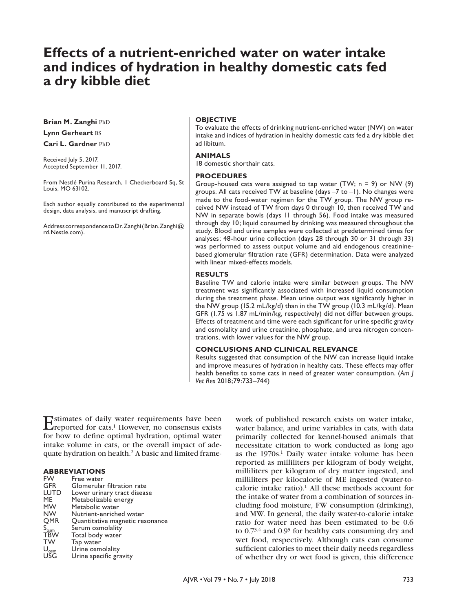# **Effects of a nutrient-enriched water on water intake and indices of hydration in healthy domestic cats fed a dry kibble diet**

**Brian M. Zanghi PhD** 

### **Lynn Gerheart** bs

**Cari L. Gardner PhD** 

Received July 5, 2017. Accepted September 11, 2017.

From Nestlé Purina Research, 1 Checkerboard Sq, St Louis, MO 63102.

Each author equally contributed to the experimental design, data analysis, and manuscript drafting.

Address correspondence to Dr. Zanghi (Brian.Zanghi@ rd.Nestle.com).

#### **OBJECTIVE**

To evaluate the effects of drinking nutrient-enriched water (NW) on water intake and indices of hydration in healthy domestic cats fed a dry kibble diet ad libitum.

#### **ANIMALS**

18 domestic shorthair cats.

#### **PROCEDURES**

Group-housed cats were assigned to tap water (TW; n = 9) or NW (9) groups. All cats received TW at baseline (days –7 to –1). No changes were made to the food-water regimen for the TW group. The NW group received NW instead of TW from days 0 through 10, then received TW and NW in separate bowls (days 11 through 56). Food intake was measured through day 10; liquid consumed by drinking was measured throughout the study. Blood and urine samples were collected at predetermined times for analyses; 48-hour urine collection (days 28 through 30 or 31 through 33) was performed to assess output volume and aid endogenous creatininebased glomerular filtration rate (GFR) determination. Data were analyzed with linear mixed-effects models.

#### **RESULTS**

Baseline TW and calorie intake were similar between groups. The NW treatment was significantly associated with increased liquid consumption during the treatment phase. Mean urine output was significantly higher in the NW group (15.2 mL/kg/d) than in the TW group (10.3 mL/kg/d). Mean GFR (1.75 vs 1.87 mL/min/kg, respectively) did not differ between groups. Effects of treatment and time were each significant for urine specific gravity and osmolality and urine creatinine, phosphate, and urea nitrogen concentrations, with lower values for the NW group.

#### **CONCLUSIONS AND CLINICAL RELEVANCE**

Results suggested that consumption of the NW can increase liquid intake and improve measures of hydration in healthy cats. These effects may offer health benefits to some cats in need of greater water consumption. (*Am J Vet Res* 2018;79:733–744)

Estimates of daily water requirements have been<br>reported for cats.<sup>1</sup> However, no consensus exists for how to define optimal hydration, optimal water intake volume in cats, or the overall impact of adequate hydration on health.2 A basic and limited frame-

### **ABBREVIATIONS**

| <b>FW</b>                   | Free water                      |
|-----------------------------|---------------------------------|
| <b>GFR</b>                  | Glomerular filtration rate      |
| <b>LUTD</b>                 | Lower urinary tract disease     |
| ME                          | Metabolizable energy            |
| <b>MW</b>                   | Metabolic water                 |
| <b>NW</b>                   | Nutrient-enriched water         |
| <b>OMR</b>                  | Quantitative magnetic resonance |
| $\mathsf{S}_{\mathsf{osm}}$ | Serum osmolality                |
| <b>TBW</b>                  | Total body water                |
| <b>TW</b>                   | Tap water                       |
| $\mathsf{U}_{\mathsf{osm}}$ | Urine osmolality                |
| <b>USG</b>                  | Urine specific gravity          |
|                             |                                 |

work of published research exists on water intake, water balance, and urine variables in cats, with data primarily collected for kennel-housed animals that necessitate citation to work conducted as long ago as the 1970s.<sup>1</sup> Daily water intake volume has been reported as milliliters per kilogram of body weight, milliliters per kilogram of dry matter ingested, and milliliters per kilocalorie of ME ingested (water-tocalorie intake ratio).<sup>1</sup> All these methods account for the intake of water from a combination of sources including food moisture, FW consumption (drinking), and MW. In general, the daily water-to-calorie intake ratio for water need has been estimated to be 0.6 to 0.73,4 and 0.95 for healthy cats consuming dry and wet food, respectively. Although cats can consume sufficient calories to meet their daily needs regardless of whether dry or wet food is given, this difference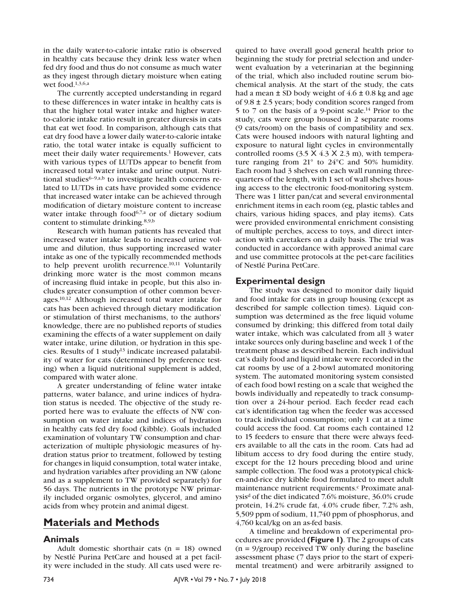in the daily water-to-calorie intake ratio is observed in healthy cats because they drink less water when fed dry food and thus do not consume as much water as they ingest through dietary moisture when eating wet food.1,3,6,a

The currently accepted understanding in regard to these differences in water intake in healthy cats is that the higher total water intake and higher waterto-calorie intake ratio result in greater diuresis in cats that eat wet food. In comparison, although cats that eat dry food have a lower daily water-to-calorie intake ratio, the total water intake is equally sufficient to meet their daily water requirements.<sup>1</sup> However, cats with various types of LUTDs appear to benefit from increased total water intake and urine output. Nutritional studies<sup>6-9,a,b</sup> to investigate health concerns related to LUTDs in cats have provided some evidence that increased water intake can be achieved through modification of dietary moisture content to increase water intake through food<sup>6,7,a</sup> or of dietary sodium content to stimulate drinking.8,9,b

Research with human patients has revealed that increased water intake leads to increased urine volume and dilution, thus supporting increased water intake as one of the typically recommended methods to help prevent urolith recurrence.<sup>10,11</sup> Voluntarily drinking more water is the most common means of increasing fluid intake in people, but this also includes greater consumption of other common beverages.10,12 Although increased total water intake for cats has been achieved through dietary modification or stimulation of thirst mechanisms, to the authors' knowledge, there are no published reports of studies examining the effects of a water supplement on daily water intake, urine dilution, or hydration in this species. Results of 1 study<sup>13</sup> indicate increased palatability of water for cats (determined by preference testing) when a liquid nutritional supplement is added, compared with water alone.

A greater understanding of feline water intake patterns, water balance, and urine indices of hydration status is needed. The objective of the study reported here was to evaluate the effects of NW consumption on water intake and indices of hydration in healthy cats fed dry food (kibble). Goals included examination of voluntary TW consumption and characterization of multiple physiologic measures of hydration status prior to treatment, followed by testing for changes in liquid consumption, total water intake, and hydration variables after providing an NW (alone and as a supplement to TW provided separately) for 56 days. The nutrients in the prototype NW primarily included organic osmolytes, glycerol, and amino acids from whey protein and animal digest.

# **Materials and Methods**

## **Animals**

Adult domestic shorthair cats  $(n = 18)$  owned by Nestlé Purina PetCare and housed at a pet facility were included in the study. All cats used were re-

quired to have overall good general health prior to beginning the study for pretrial selection and underwent evaluation by a veterinarian at the beginning of the trial, which also included routine serum biochemical analysis. At the start of the study, the cats had a mean  $\pm$  SD body weight of 4.6  $\pm$  0.8 kg and age of 9.8 ± 2.5 years; body condition scores ranged from 5 to 7 on the basis of a 9-point scale.14 Prior to the study, cats were group housed in 2 separate rooms (9 cats/room) on the basis of compatibility and sex. Cats were housed indoors with natural lighting and exposure to natural light cycles in environmentally controlled rooms  $(3.5 \times 4.3 \times 2.3 \text{ m})$ , with temperature ranging from 21° to 24°C and 50% humidity. Each room had 3 shelves on each wall running threequarters of the length, with 1 set of wall shelves housing access to the electronic food-monitoring system. There was 1 litter pan/cat and several environmental enrichment items in each room (eg, plastic tables and chairs, various hiding spaces, and play items). Cats were provided environmental enrichment consisting of multiple perches, access to toys, and direct interaction with caretakers on a daily basis. The trial was conducted in accordance with approved animal care and use committee protocols at the pet-care facilities of Nestlé Purina PetCare.

## **Experimental design**

The study was designed to monitor daily liquid and food intake for cats in group housing (except as described for sample collection times). Liquid consumption was determined as the free liquid volume consumed by drinking; this differed from total daily water intake, which was calculated from all 3 water intake sources only during baseline and week 1 of the treatment phase as described herein. Each individual cat's daily food and liquid intake were recorded in the cat rooms by use of a 2-bowl automated monitoring system. The automated monitoring system consisted of each food bowl resting on a scale that weighed the bowls individually and repeatedly to track consumption over a 24-hour period. Each feeder read each cat's identification tag when the feeder was accessed to track individual consumption; only 1 cat at a time could access the food. Cat rooms each contained 12 to 15 feeders to ensure that there were always feeders available to all the cats in the room. Cats had ad libitum access to dry food during the entire study, except for the 12 hours preceding blood and urine sample collection. The food was a prototypical chicken-and-rice dry kibble food formulated to meet adult maintenance nutrient requirements.<sup>c</sup> Proximate analysis<sup>d</sup> of the diet indicated 7.6% moisture,  $36.0\%$  crude protein, 14.2% crude fat, 4.0% crude fiber, 7.2% ash, 5,509 ppm of sodium, 11,740 ppm of phosphorus, and 4,760 kcal/kg on an as-fed basis.

A timeline and breakdown of experimental procedures are provided **(Figure 1)**. The 2 groups of cats  $(n = 9/\text{group})$  received TW only during the baseline assessment phase (7 days prior to the start of experimental treatment) and were arbitrarily assigned to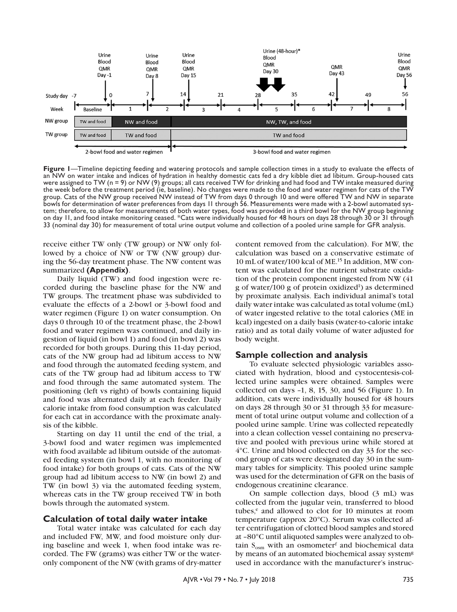

**Figure 1**—Timeline depicting feeding and watering protocols and sample collection times in a study to evaluate the effects of an NW on water intake and indices of hydration in healthy domestic cats fed a dry kibble diet ad libitum. Group-housed cats were assigned to TW (n = 9) or NW (9) groups; all cats received TW for drinking and had food and TW intake measured during the week before the treatment period (ie, baseline). No changes were made to the food and water regimen for cats of the TW group. Cats of the NW group received NW instead of TW from days 0 through 10 and were offered TW and NW in separate bowls for determination of water preferences from days 11 through 56. Measurements were made with a 2-bowl automated system; therefore, to allow for measurements of both water types, food was provided in a third bowl for t on day 11, and food intake monitoring ceased. \*Cats were individually housed for 48 hours on days 28 through 30 or 31 through 33 (nominal day 30) for measurement of total urine output volume and collection of a pooled urine sample for GFR analysis.

receive either TW only (TW group) or NW only followed by a choice of NW or TW (NW group) during the 56-day treatment phase. The NW content was summarized **(Appendix)**.

Daily liquid (TW) and food ingestion were recorded during the baseline phase for the NW and TW groups. The treatment phase was subdivided to evaluate the effects of a 2-bowl or 3-bowl food and water regimen (Figure 1) on water consumption. On days 0 through 10 of the treatment phase, the 2-bowl food and water regimen was continued, and daily ingestion of liquid (in bowl 1) and food (in bowl 2) was recorded for both groups. During this 11-day period, cats of the NW group had ad libitum access to NW and food through the automated feeding system, and cats of the TW group had ad libitum access to TW and food through the same automated system. The positioning (left vs right) of bowls containing liquid and food was alternated daily at each feeder. Daily calorie intake from food consumption was calculated for each cat in accordance with the proximate analysis of the kibble.

Starting on day 11 until the end of the trial, a 3-bowl food and water regimen was implemented with food available ad libitum outside of the automated feeding system (in bowl 1, with no monitoring of food intake) for both groups of cats. Cats of the NW group had ad libitum access to NW (in bowl 2) and TW (in bowl 3) via the automated feeding system, whereas cats in the TW group received TW in both bowls through the automated system.

## **Calculation of total daily water intake**

Total water intake was calculated for each day and included FW, MW, and food moisture only during baseline and week 1, when food intake was recorded. The FW (grams) was either TW or the wateronly component of the NW (with grams of dry-matter

content removed from the calculation). For MW, the calculation was based on a conservative estimate of 10 mL of water/100 kcal of ME.15 In addition, MW content was calculated for the nutrient substrate oxidation of the protein component ingested from NW (41  $g$  of water/100  $g$  of protein oxidized<sup>1</sup>) as determined by proximate analysis. Each individual animal's total daily water intake was calculated as total volume (mL) of water ingested relative to the total calories (ME in kcal) ingested on a daily basis (water-to-calorie intake ratio) and as total daily volume of water adjusted for body weight.

#### **Sample collection and analysis**

To evaluate selected physiologic variables associated with hydration, blood and cystocentesis-collected urine samples were obtained. Samples were collected on days –1, 8, 15, 30, and 56 (Figure 1). In addition, cats were individually housed for 48 hours on days 28 through 30 or 31 through 33 for measurement of total urine output volume and collection of a pooled urine sample. Urine was collected repeatedly into a clean collection vessel containing no preservative and pooled with previous urine while stored at 4°C. Urine and blood collected on day 33 for the second group of cats were designated day 30 in the summary tables for simplicity. This pooled urine sample was used for the determination of GFR on the basis of endogenous creatinine clearance.

On sample collection days, blood (3 mL) was collected from the jugular vein, transferred to blood tubes, $e$  and allowed to clot for 10 minutes at room temperature (approx 20°C). Serum was collected after centrifugation of clotted blood samples and stored at –80°C until aliquoted samples were analyzed to obtain  $S_{\text{osm}}$  with an osmometer<sup>f</sup> and biochemical data by means of an automated biochemical assay system<sup>g</sup> used in accordance with the manufacturer's instruc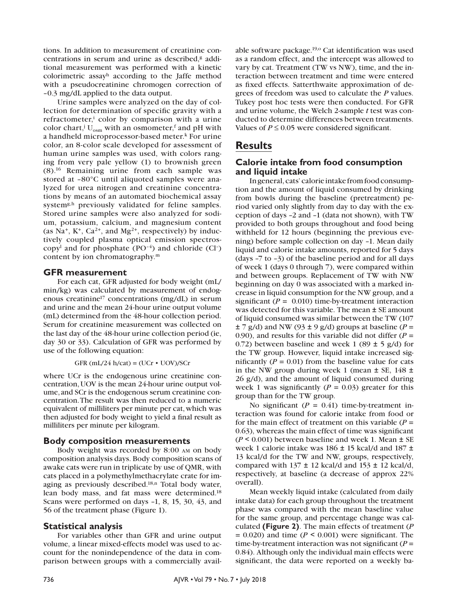tions. In addition to measurement of creatinine concentrations in serum and urine as described,<sup>g</sup> additional measurement was performed with a kinetic colorimetric assayh according to the Jaffe method with a pseudocreatinine chromogen correction of –0.3 mg/dL applied to the data output.

Urine samples were analyzed on the day of collection for determination of specific gravity with a refractometer,<sup>i</sup> color by comparison with a urine color chart,<sup>j</sup> U<sub>osm</sub> with an osmometer,<sup>f</sup> and pH with a handheld microprocessor-based meter.<sup>k</sup> For urine color, an 8-color scale developed for assessment of human urine samples was used, with colors ranging from very pale yellow (1) to brownish green (8).16 Remaining urine from each sample was stored at –80°C until aliquoted samples were analyzed for urea nitrogen and creatinine concentrations by means of an automated biochemical assay system<sup>g,h</sup> previously validated for feline samples. Stored urine samples were also analyzed for sodium, potassium, calcium, and magnesium content (as Na<sup>+</sup>, K<sup>+</sup>, Ca<sup>2+</sup>, and Mg<sup>2+</sup>, respectively) by inductively coupled plasma optical emission spectroscopy<sup>1</sup> and for phosphate  $(PO^{-4})$  and chloride  $(Cl<sup>-</sup>)$ content by ion chromatography.m

#### **GFR measurement**

For each cat, GFR adjusted for body weight (mL/ min/kg) was calculated by measurement of endogenous creatinine17 concentrations (mg/dL) in serum and urine and the mean 24-hour urine output volume (mL) determined from the 48-hour collection period. Serum for creatinine measurement was collected on the last day of the 48-hour urine collection period (ie, day 30 or 33). Calculation of GFR was performed by use of the following equation:

GFR (mL/24 h/cat) = (UCr  $\cdot$  UOV)/SCr

where UCr is the endogenous urine creatinine concentration, UOV is the mean 24-hour urine output volume, and SCr is the endogenous serum creatinine concentration. The result was then reduced to a numeric equivalent of milliliters per minute per cat, which was then adjusted for body weight to yield a final result as milliliters per minute per kilogram.

#### **Body composition measurements**

Body weight was recorded by 8:00 am on body composition analysis days. Body composition scans of awake cats were run in triplicate by use of QMR, with cats placed in a polymethylmethacrylate crate for imaging as previously described.18,n Total body water, lean body mass, and fat mass were determined.18 Scans were performed on days –1, 8, 15, 30, 43, and 56 of the treatment phase (Figure 1).

#### **Statistical analysis**

For variables other than GFR and urine output volume, a linear mixed-effects model was used to account for the nonindependence of the data in comparison between groups with a commercially avail-

able software package.<sup>19,0</sup> Cat identification was used as a random effect, and the intercept was allowed to vary by cat. Treatment (TW vs NW), time, and the interaction between treatment and time were entered as fixed effects. Satterthwaite approximation of degrees of freedom was used to calculate the *P* values. Tukey post hoc tests were then conducted. For GFR and urine volume, the Welch 2-sample *t* test was conducted to determine differences between treatments. Values of  $P \leq 0.05$  were considered significant.

# **Results**

## **Calorie intake from food consumption and liquid intake**

In general, cats' calorie intake from food consumption and the amount of liquid consumed by drinking from bowls during the baseline (pretreatment) period varied only slightly from day to day with the exception of days –2 and –1 (data not shown), with TW provided to both groups throughout and food being withheld for 12 hours (beginning the previous evening) before sample collection on day –1. Mean daily liquid and calorie intake amounts, reported for 5 days (days –7 to –3) of the baseline period and for all days of week 1 (days 0 through 7), were compared within and between groups. Replacement of TW with NW beginning on day 0 was associated with a marked increase in liquid consumption for the NW group, and a significant  $(P = 0.010)$  time-by-treatment interaction was detected for this variable. The mean ± SE amount of liquid consumed was similar between the TW (107  $\pm$  7 g/d) and NW (93  $\pm$  9 g/d) groups at baseline (*P* = 0.90), and results for this variable did not differ  $(P =$ 0.72) between baseline and week 1 (89  $\pm$  5 g/d) for the TW group. However, liquid intake increased significantly  $(P = 0.01)$  from the baseline value for cats in the NW group during week 1 (mean  $\pm$  SE, 148  $\pm$ 26 g/d), and the amount of liquid consumed during week 1 was significantly  $(P = 0.03)$  greater for this group than for the TW group.

No significant  $(P = 0.41)$  time-by-treatment interaction was found for calorie intake from food or for the main effect of treatment on this variable  $(P =$ 0.63), whereas the main effect of time was significant  $(P \le 0.001)$  between baseline and week 1. Mean  $\pm$  SE week 1 calorie intake was 186 ± 15 kcal/d and 187 ± 13 kcal/d for the TW and NW, groups, respectively, compared with  $137 \pm 12$  kcal/d and  $153 \pm 12$  kcal/d, respectively, at baseline (a decrease of approx 22% overall).

Mean weekly liquid intake (calculated from daily intake data) for each group throughout the treatment phase was compared with the mean baseline value for the same group, and percentage change was calculated **(Figure 2)**. The main effects of treatment (*P*  $= 0.020$ ) and time ( $P \le 0.001$ ) were significant. The time-by-treatment interaction was not significant  $(P =$ 0.84). Although only the individual main effects were significant, the data were reported on a weekly ba-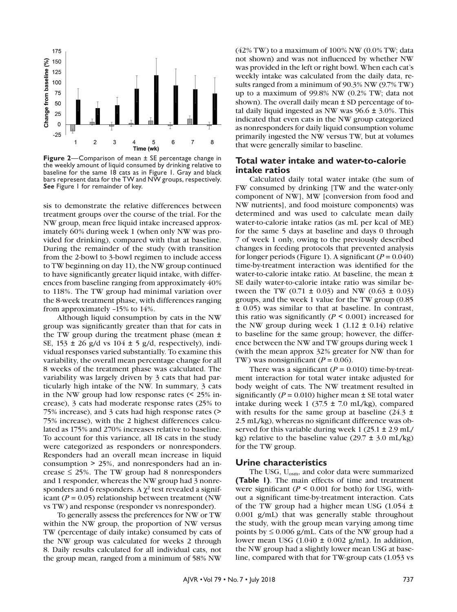

**Figure 2**—Comparison of mean  $\pm$  SE percentage change in the weekly amount of liquid consumed by drinking relative to baseline for the same 18 cats as in Figure 1. Gray and black bars represent data for the TW and NW groups, respectively. *See* Figure 1 for remainder of key.

sis to demonstrate the relative differences between treatment groups over the course of the trial. For the NW group, mean free liquid intake increased approximately 60% during week 1 (when only NW was provided for drinking), compared with that at baseline. During the remainder of the study (with transition from the 2-bowl to 3-bowl regimen to include access to TW beginning on day 11), the NW group continued to have significantly greater liquid intake, with differences from baseline ranging from approximately 40% to 118%. The TW group had minimal variation over the 8-week treatment phase, with differences ranging from approximately –15% to 14%.

Although liquid consumption by cats in the NW group was significantly greater than that for cats in the TW group during the treatment phase (mean ± SE, 153 ± 26 g/d vs 104 ± 5 g/d, respectively), individual responses varied substantially. To examine this variability, the overall mean percentage change for all 8 weeks of the treatment phase was calculated. The variability was largely driven by 3 cats that had particularly high intake of the NW. In summary, 3 cats in the NW group had low response rates (< 25% increase), 3 cats had moderate response rates (25% to 75% increase), and 3 cats had high response rates (> 75% increase), with the 2 highest differences calculated as 175% and 270% increases relative to baseline. To account for this variance, all 18 cats in the study were categorized as responders or nonresponders. Responders had an overall mean increase in liquid consumption > 25%, and nonresponders had an increase  $\leq$  25%. The TW group had 8 nonresponders and 1 responder, whereas the NW group had 3 nonresponders and 6 responders. A  $\chi^2$  test revealed a significant ( $P = 0.05$ ) relationship between treatment (NW) vs TW) and response (responder vs nonresponder).

To generally assess the preferences for NW or TW within the NW group, the proportion of NW versus TW (percentage of daily intake) consumed by cats of the NW group was calculated for weeks 2 through 8. Daily results calculated for all individual cats, not the group mean, ranged from a minimum of 58% NW

 $(42\% \text{ TW})$  to a maximum of 100% NW  $(0.0\% \text{ TW})$ ; data not shown) and was not influenced by whether NW was provided in the left or right bowl. When each cat's weekly intake was calculated from the daily data, results ranged from a minimum of 90.3% NW (9.7% TW) up to a maximum of 99.8% NW (0.2% TW; data not shown). The overall daily mean  $\pm$  SD percentage of total daily liquid ingested as NW was  $96.6 \pm 3.0\%$ . This indicated that even cats in the NW group categorized as nonresponders for daily liquid consumption volume primarily ingested the NW versus TW, but at volumes that were generally similar to baseline.

### **Total water intake and water-to-calorie intake ratios**

Calculated daily total water intake (the sum of FW consumed by drinking [TW and the water-only component of NW], MW [conversion from food and NW nutrients], and food moisture components) was determined and was used to calculate mean daily water-to-calorie intake ratios (as mL per kcal of ME) for the same 5 days at baseline and days 0 through 7 of week 1 only, owing to the previously described changes in feeding protocols that prevented analysis for longer periods (Figure 1). A significant  $(P = 0.040)$ time-by-treatment interaction was identified for the water-to-calorie intake ratio. At baseline, the mean ± SE daily water-to-calorie intake ratio was similar between the TW (0.71  $\pm$  0.03) and NW (0.63  $\pm$  0.03) groups, and the week 1 value for the TW group (0.85 ± 0.05) was similar to that at baseline. In contrast, this ratio was significantly ( $P \le 0.001$ ) increased for the NW group during week 1 (1.12  $\pm$  0.14) relative to baseline for the same group; however, the difference between the NW and TW groups during week 1 (with the mean approx 32% greater for NW than for TW) was nonsignificant  $(P = 0.06)$ .

There was a significant  $(P = 0.010)$  time-by-treatment interaction for total water intake adjusted for body weight of cats. The NW treatment resulted in significantly ( $P = 0.010$ ) higher mean  $\pm$  SE total water intake during week 1 (37.5  $\pm$  7.0 mL/kg), compared with results for the same group at baseline  $(24.3 \pm 1)$ 2.5 mL/kg), whereas no significant difference was observed for this variable during week 1 (25.1 ± 2.9 mL/ kg) relative to the baseline value  $(29.7 \pm 3.0 \text{ mL/kg})$ for the TW group.

#### **Urine characteristics**

The USG, U<sub>osm</sub>, and color data were summarized **(Table 1)**. The main effects of time and treatment were significant ( $P \le 0.001$  for both) for USG, without a significant time-by-treatment interaction. Cats of the TW group had a higher mean USG  $(1.054 \pm 1)$ 0.001 g/mL) that was generally stable throughout the study, with the group mean varying among time points by  $\leq 0.006$  g/mL. Cats of the NW group had a lower mean USG  $(1.040 \pm 0.002 \text{ g/mL})$ . In addition, the NW group had a slightly lower mean USG at baseline, compared with that for TW-group cats (1.053 vs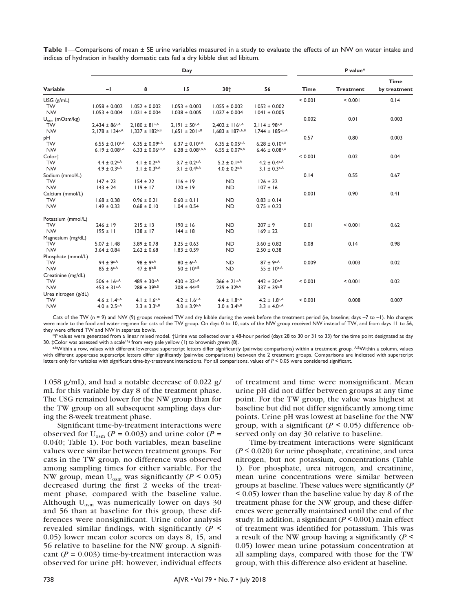|                            |                                |                                  | Day                              | P value*                       |                                |             |                  |              |
|----------------------------|--------------------------------|----------------------------------|----------------------------------|--------------------------------|--------------------------------|-------------|------------------|--------------|
|                            |                                |                                  |                                  |                                |                                |             |                  | <b>Time</b>  |
| Variable                   | $-1$                           | 8                                | 15                               | 30+                            | 56                             | <b>Time</b> | <b>Treatment</b> | by treatment |
| $USG$ ( $g/mL$ )           |                                |                                  |                                  |                                |                                | < 0.001     | < 0.001          | 0.14         |
| <b>TW</b>                  | $1.058 \pm 0.002$              | $1.052 \pm 0.002$                | $1.053 \pm 0.003$                | $1.055 \pm 0.002$              | $1.052 \pm 0.002$              |             |                  |              |
| <b>NW</b>                  | $1.053 \pm 0.004$              | $1.031 \pm 0.004$                | $1.038 \pm 0.005$                | $1.037 \pm 0.004$              | $1.041 \pm 0.005$              |             |                  |              |
| $U_{\text{osm}}$ (mOsm/kg) |                                |                                  |                                  |                                |                                | 0.002       | 0.01             | 0.003        |
| <b>TW</b>                  | $2.434 \pm 86$ <sub>a</sub> A  | $2,180 \pm 81$ <sub>a,A</sub>    | $2.191 \pm 50^{a,A}$             | $2.402 \pm 116^{a,A}$          | $2.114 \pm 98$ <sub>a</sub> A  |             |                  |              |
| <b>NW</b>                  | $2.178 \pm 134$ <sup>a,A</sup> | $1.337 \pm 182^{b,B}$            | $1.651 \pm 201^{b,B}$            | $1.683 \pm 187^{a,b,B}$        | $1,744 \pm 185^{a,b,A}$        |             |                  |              |
| pН                         |                                |                                  |                                  |                                |                                | 0.57        | 0.80             | 0.003        |
| <b>TW</b>                  | $6.55 \pm 0.10$ a,A            | $6.35 \pm 0.09$ a,A              | $6.37 \pm 0.10$ a,A              | $6.35 \pm 0.05$ <sub>a</sub> A | $6.28 \pm 0.10$ a,A            |             |                  |              |
| <b>NW</b>                  | $6.19 \pm 0.08$ <sub>a</sub> A | $6.33 \pm 0.06$ <sub>a,b,A</sub> | $6.28 \pm 0.08$ <sub>a,b,A</sub> | $6.55 \pm 0.07$ <sup>b,A</sup> | $6.46 \pm 0.08$ <sub>a,A</sub> |             |                  |              |
| Color‡                     |                                |                                  |                                  |                                |                                | < 0.001     | 0.02             | 0.04         |
| <b>TW</b>                  | $4.4 \pm 0.2$ <sub>a</sub> A   | 4.1 $\pm$ 0.2 <sup>a,A</sup>     | $3.7 \pm 0.2$ a,A                | $5.2 \pm 0.1$ <sup>a,A</sup>   | $4.2 \pm 0.4$ a,A              |             |                  |              |
| <b>NW</b>                  | $4.9 \pm 0.3$ <sub>a,A</sub>   | $3.1 \pm 0.3^{b,A}$              | 3.1 ± $0.4^{b,A}$                | $4.0 \pm 0.2$ <sup>a,A</sup>   | $3.1 \pm 0.3^{b,A}$            |             |                  |              |
| Sodium (mmol/L)            |                                |                                  |                                  |                                |                                | 0.14        | 0.55             | 0.67         |
| <b>TW</b>                  | $147 \pm 23$                   | $154 \pm 22$                     | $116 \pm 19$                     | <b>ND</b>                      | $126 \pm 32$                   |             |                  |              |
| <b>NW</b>                  | $143 \pm 24$                   | $119 \pm 17$                     | $120 \pm 19$                     | <b>ND</b>                      | $107 \pm 16$                   |             |                  |              |
| Calcium (mmol/L)           |                                |                                  |                                  |                                |                                | 0.001       | 0.90             | 0.41         |
| <b>TW</b>                  | $1.68 \pm 0.38$                | $0.96 \pm 0.21$                  | $0.60 \pm 0.11$                  | <b>ND</b>                      | $0.83 \pm 0.14$                |             |                  |              |
| <b>NW</b>                  | $1.49 \pm 0.33$                | $0.68 \pm 0.10$                  | $1.04 \pm 0.54$                  | <b>ND</b>                      | $0.75 \pm 0.23$                |             |                  |              |
| Potassium (mmol/L)         |                                |                                  |                                  |                                |                                |             |                  |              |
| <b>TW</b>                  | $246 \pm 19$                   | $215 \pm 13$                     | $190 \pm 16$                     | <b>ND</b>                      | $207 \pm 9$                    | 0.01        | < 0.001          | 0.62         |
| <b>NW</b>                  | $195 \pm 11$                   | $138 \pm 17$                     | $144 \pm 18$                     | <b>ND</b>                      | $169 \pm 22$                   |             |                  |              |
| Magnesium (mg/dL)          |                                |                                  |                                  |                                |                                |             |                  |              |
| <b>TW</b>                  | $5.07 \pm 1.48$                | $3.89 \pm 0.78$                  | $3.25 \pm 0.63$                  | <b>ND</b>                      | $3.60 \pm 0.82$                | 0.08        | 0.14             | 0.98         |
| <b>NW</b>                  | $3.64 \pm 0.84$                | $2.62 \pm 0.68$                  | $1.83 \pm 0.59$                  | <b>ND</b>                      | $2.50 \pm 0.38$                |             |                  |              |
| Phosphate (mmol/L)         |                                |                                  |                                  |                                |                                |             |                  |              |
| <b>TW</b>                  | $94 \pm 9^{a,A}$               | $98 \pm 9^{\text{a,A}}$          | $80 \pm 6^{\text{a,A}}$          | <b>ND</b>                      | $87 \pm 9^{\text{a,A}}$        | 0.009       | 0.003            | 0.02         |
| <b>NW</b>                  | $85 \pm 6^{a,A}$               | $47 \pm 8^{b,B}$                 | $50 \pm 10^{b,B}$                | <b>ND</b>                      | $55 \pm 10^{b,A}$              |             |                  |              |
| Creatinine (mg/dL)         |                                |                                  |                                  |                                |                                |             |                  |              |
| <b>TW</b>                  | $506 \pm 16^{a,A}$             | $489 \pm 30^{\text{a,A}}$        | $430 \pm 33^{\text{a,A}}$        | $366 \pm 21^{a,A}$             | $442 \pm 30^{a,A}$             | < 0.001     | < 0.001          | 0.02         |
| <b>NW</b>                  | $453 \pm 31$ a,A               | $288 \pm 39^{b,B}$               | $308 \pm 44^{b, B}$              | $239 \pm 32$ <sub>b</sub> ,A   | $337 \pm 39^{b,B}$             |             |                  |              |
| Urea nitrogen (g/dL)       |                                |                                  |                                  |                                |                                |             |                  |              |
| <b>TW</b>                  | $4.6 \pm 1.4$ <sup>a,A</sup>   | 4.1 ± 1.6 <sup>a,A</sup>         | $4.2 \pm 1.6^{a,A}$              | $4.4 \pm 1.8^{a,A}$            | $4.2 \pm 1.8^{a,A}$            | < 0.001     | 0.008            | 0.007        |
| <b>NW</b>                  | $4.0 \pm 2.5$ <sub>a</sub> A   | $2.3 \pm 3.3^{b,B}$              | $3.0 \pm 3.9$ b,A                | $3.0 \pm 3.4^{b,B}$            | $3.3 \pm 4.0$ a,A              |             |                  |              |

**Table 1**—Comparisons of mean ± SE urine variables measured in a study to evaluate the effects of an NW on water intake and indices of hydration in healthy domestic cats fed a dry kibble diet ad libitum.

Cats of the TW (n = 9) and NW (9) groups received TW and dry kibble during the week before the treatment period (ie, baseline; days –7 to –1). No changes were made to the food and water regimen for cats of the TW group. On days 0 to 10, cats of the NW group received NW instead of TW, and from days 11 to 56, they were offered TW and NW in separate bowls.

<sup>\*</sup>*P* values were generated from a linear mixed model. †Urine was collected over a 48-hour period (days 28 to 30 or 31 to 33) for the time point designated as day<br>30. ‡Color was assessed with a scale<sup>16j</sup> from very pale y

abWithin a row, values with different lowercase superscript letters differ significantly (pairwise comparisons) within a treatment group. ABWithin a column, values with different uppercase superscript letters differ significantly (pairwise comparisons) between the 2 treatment groups. Comparisons are indicated with superscript letters only for variables with significant time-by-treatment interactions. For all comparisons, values of *P* < 0.05 were considered significant.

1.058 g/mL), and had a notable decrease of 0.022 g/ mL for this variable by day 8 of the treatment phase. The USG remained lower for the NW group than for the TW group on all subsequent sampling days during the 8-week treatment phase.

Significant time-by-treatment interactions were observed for  $U_{\text{osm}}$  ( $P = 0.003$ ) and urine color ( $P =$ 0.040; Table 1). For both variables, mean baseline values were similar between treatment groups. For cats in the TW group, no difference was observed among sampling times for either variable. For the NW group, mean  $U_{\text{osm}}$  was significantly ( $P \le 0.05$ ) decreased during the first 2 weeks of the treatment phase, compared with the baseline value. Although U<sub>osm</sub> was numerically lower on days 30 and 56 than at baseline for this group, these differences were nonsignificant. Urine color analysis revealed similar findings, with significantly (*P* < 0.05) lower mean color scores on days 8, 15, and 56 relative to baseline for the NW group. A significant  $(P = 0.003)$  time-by-treatment interaction was observed for urine pH; however, individual effects of treatment and time were nonsignificant. Mean urine pH did not differ between groups at any time point. For the TW group, the value was highest at baseline but did not differ significantly among time points. Urine pH was lowest at baseline for the NW group, with a significant ( $P \le 0.05$ ) difference observed only on day 30 relative to baseline.

Time-by-treatment interactions were significant  $(P \le 0.020)$  for urine phosphate, creatinine, and urea nitrogen, but not potassium, concentrations (Table 1). For phosphate, urea nitrogen, and creatinine, mean urine concentrations were similar between groups at baseline. These values were significantly (*P* < 0.05) lower than the baseline value by day 8 of the treatment phase for the NW group, and these differences were generally maintained until the end of the study. In addition, a significant  $(P \le 0.001)$  main effect of treatment was identified for potassium. This was a result of the NW group having a significantly (*P* < 0.05) lower mean urine potassium concentration at all sampling days, compared with those for the TW group, with this difference also evident at baseline.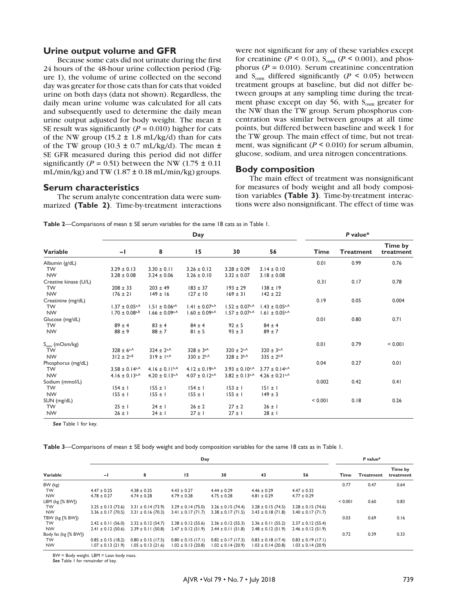#### **Urine output volume and GFR**

Because some cats did not urinate during the first 24 hours of the 48-hour urine collection period (Figure 1), the volume of urine collected on the second day was greater for those cats than for cats that voided urine on both days (data not shown). Regardless, the daily mean urine volume was calculated for all cats and subsequently used to determine the daily mean urine output adjusted for body weight. The mean ± SE result was significantly  $(P = 0.010)$  higher for cats of the NW group (15.2  $\pm$  1.8 mL/kg/d) than for cats of the TW group (10.3  $\pm$  0.7 mL/kg/d). The mean  $\pm$ SE GFR measured during this period did not differ significantly ( $P = 0.51$ ) between the NW (1.75  $\pm$  0.11) mL/min/kg) and TW  $(1.87 \pm 0.18 \text{ mL/min/kg})$  groups.

#### **Serum characteristics**

The serum analyte concentration data were summarized **(Table 2)**. Time-by-treatment interactions

were not significant for any of these variables except for creatinine ( $P \le 0.01$ ),  $S_{\text{osm}}$  ( $P \le 0.001$ ), and phosphorus ( $P = 0.010$ ). Serum creatinine concentration and  $S_{\text{osm}}$  differed significantly ( $P \le 0.05$ ) between treatment groups at baseline, but did not differ between groups at any sampling time during the treatment phase except on day 56, with  $S_{\text{osm}}$  greater for the NW than the TW group. Serum phosphorus concentration was similar between groups at all time points, but differed between baseline and week 1 for the TW group. The main effect of time, but not treatment, was significant ( $P \le 0.010$ ) for serum albumin, glucose, sodium, and urea nitrogen concentrations.

#### **Body composition**

The main effect of treatment was nonsignificant for measures of body weight and all body composition variables **(Table 3)**. Time-by-treatment interactions were also nonsignificant. The effect of time was

**Table 2**—Comparisons of mean ± SE serum variables for the same 18 cats as in Table 1.

|                            |                                 |                                | P value*                         |                     |                                |             |                  |                      |
|----------------------------|---------------------------------|--------------------------------|----------------------------------|---------------------|--------------------------------|-------------|------------------|----------------------|
| Variable                   | -1                              | 8                              | 15                               | 30                  | 56                             | <b>Time</b> | <b>Treatment</b> | Time by<br>treatment |
| Albumin (g/dL)             |                                 |                                |                                  |                     |                                | 0.01        | 0.99             | 0.76                 |
| <b>TW</b>                  | $3.29 \pm 0.13$                 | $3.30 \pm 0.11$                | $3.26 \pm 0.12$                  | $3.28 \pm 0.09$     | $3.14 \pm 0.10$                |             |                  |                      |
| <b>NW</b>                  | $3.28 \pm 0.08$                 | $3.24 \pm 0.06$                | $3.26 \pm 0.10$                  | $3.32 \pm 0.07$     | $3.18 \pm 0.08$                |             |                  |                      |
| Creatine kinase (U/L)      |                                 |                                |                                  |                     |                                | 0.31        | 0.17             | 0.78                 |
| <b>TW</b>                  | $208 \pm 33$                    | $203 \pm 49$                   | $183 \pm 37$                     | $193 \pm 29$        | $138 \pm 19$                   |             |                  |                      |
| <b>NW</b>                  | $176 \pm 21$                    | $149 \pm 16$                   | $127 \pm 10$                     | $169 \pm 31$        | $142 \pm 22$                   |             |                  |                      |
| Creatinine (mg/dL)         |                                 |                                |                                  |                     |                                | 0.19        | 0.05             | 0.004                |
| <b>TW</b>                  | $1.37 \pm 0.05$ <sup>a,A</sup>  | $1.51 \pm 0.06^{aA}$           | $1.41 \pm 0.07$ <sup>a,A</sup>   | $1.52 \pm 0.07$ a,A | $1.43 \pm 0.05$ <sup>a,A</sup> |             |                  |                      |
| <b>NW</b>                  | $1.70 \pm 0.08$ a,B             | $1.66 \pm 0.09$ a,A            | $1.60 \pm 0.09$ a,A              | $1.57 \pm 0.07$ a,A | $1.61 \pm 0.05$ <sub>a</sub> A |             |                  |                      |
| Glucose (mg/dL)            |                                 |                                |                                  |                     |                                | 0.01        | 0.80             | 0.71                 |
| <b>TW</b>                  | $89 \pm 4$                      | $83 \pm 4$                     | $84 \pm 4$                       | $92 \pm 5$          | $84 \pm 4$                     |             |                  |                      |
| <b>NW</b>                  | $88 \pm 9$                      | $88 \pm 7$                     | $81 \pm 5$                       | $93 \pm 3$          | $89 \pm 7$                     |             |                  |                      |
| $S_{\text{osm}}$ (mOsm/kg) |                                 |                                |                                  |                     |                                | 0.01        | 0.79             | < 0.001              |
| <b>TW</b>                  | $328 \pm 6^{a,A}$               | $324 \pm 2^{a,A}$              | $328 \pm 3^{aA}$                 | $320 \pm 2^{a,A}$   | $320 \pm 3^{a,A}$              |             |                  |                      |
| <b>NW</b>                  | $312 \pm 2^{a,B}$               | $319 \pm 1^{a,A}$              | $330 \pm 2^{b,A}$                | $328 \pm 3^{b,A}$   | $335 \pm 2^{b,B}$              |             |                  |                      |
| Phosphorus (mg/dL)         |                                 |                                |                                  |                     |                                | 0.04        | 0.27             | 0.01                 |
| <b>TW</b>                  | $3.58 \pm 0.14$ a,A             | $4.16 \pm 0.11^{b,A}$          | $4.12 \pm 0.19$ a,A              | $3.93 \pm 0.10$ a,A | $3.77 \pm 0.14$ a,A            |             |                  |                      |
| <b>NW</b>                  | $4.16 \pm 0.13$ <sub>a</sub> ,A | $4.20 \pm 0.13$ <sup>a,A</sup> | $4.07 \pm 0.12$ <sub>a</sub> $A$ | $3.82 \pm 0.13$ a,A | $4.26 \pm 0.21$ <sup>a,A</sup> |             |                  |                      |
| Sodium (mmol/L)            |                                 |                                |                                  |                     |                                | 0.002       | 0.42             | 0.41                 |
| <b>TW</b>                  | $154 \pm 1$                     | $155 \pm 1$                    | $154 \pm 1$                      | $153 \pm 1$         | $151 \pm 1$                    |             |                  |                      |
| <b>NW</b>                  | $155 \pm 1$                     | $155 \pm 1$                    | $155 \pm 1$                      | $155 \pm 1$         | $149 \pm 3$                    |             |                  |                      |
| SUN (mg/dL)                |                                 |                                |                                  |                     |                                | < 0.001     | 0.18             | 0.26                 |
| <b>TW</b>                  | $25 \pm 1$                      | $24 \pm 1$                     | $26 \pm 2$                       | $27 \pm 2$          | $26 \pm 1$                     |             |                  |                      |
| <b>NW</b>                  | $26 \pm 1$                      | $24 \pm 1$                     | $27 \pm 1$                       | $27 \pm 1$          | $28 \pm 1$                     |             |                  |                      |

*See* Table 1 for key.

**Table 3**—Comparisons of mean ± SE body weight and body composition variables for the same 18 cats as in Table 1.

|                      |                        | P value*               |                        |                        |                        |                        |         |                  |                      |
|----------------------|------------------------|------------------------|------------------------|------------------------|------------------------|------------------------|---------|------------------|----------------------|
| Variable             | $\mathbf{-}$           | 8                      | 15                     | 30                     | 43                     | 56                     | Time    | <b>Treatment</b> | Time by<br>treatment |
| BW (kg)              |                        |                        |                        |                        |                        |                        | 0.77    | 0.47             | 0.64                 |
| TW                   | $4.47 \pm 0.25$        | $4.38 \pm 0.25$        | $4.43 \pm 0.27$        | $4.44 \pm 0.29$        | $4.46 \pm 0.29$        | $4.47 \pm 0.32$        |         |                  |                      |
| <b>NW</b>            | $4.78 \pm 0.27$        | $4.74 \pm 0.28$        | $4.79 \pm 0.28$        | $4.75 \pm 0.28$        | $4.81 \pm 0.29$        | $4.77 \pm 0.29$        |         |                  |                      |
| LBM (kg [% BW])      |                        |                        |                        |                        |                        |                        | < 0.001 | 0.60             | 0.83                 |
| <b>TW</b>            | $3.25 \pm 0.13(73.6)$  | $3.31 \pm 0.14$ (73.9) | $3.29 \pm 0.14$ (75.0) | $3.26 \pm 0.15$ (74.4) | $3.28 \pm 0.15$ (74.5) | $3.28 \pm 0.15$ (74.6) |         |                  |                      |
| <b>NW</b>            | $3.36 \pm 0.17(70.5)$  | $3.31 \pm 0.16$ (70.3) | $3.41 \pm 0.17(71.7)$  | $3.38 \pm 0.17(71.5)$  | $3.43 \pm 0.18$ (71.8) | $3.40 \pm 0.17(71.7)$  |         |                  |                      |
| TBW (kg [% BW])      |                        |                        |                        |                        |                        |                        | 0.03    | 0.69             | 0.16                 |
| <b>TW</b>            | $2.42 \pm 0.11(56.0)$  | $2.32 \pm 0.12(54.7)$  | $2.38 \pm 0.12$ (55.6) | $2.36 \pm 0.12$ (55.3) | $2.36 \pm 0.11$ (55.2) | $2.37 \pm 0.12$ (55.4) |         |                  |                      |
| <b>NW</b>            | $2.41 \pm 0.12(50.6)$  | $2.39 \pm 0.11(50.8)$  | $2.47 \pm 0.12$ (51.9) | $2.44 \pm 0.11(51.8)$  | $2.48 \pm 0.12(51.9)$  | $2.46 \pm 0.12$ (51.9) |         |                  |                      |
| Body fat (kg [% BW]) |                        |                        |                        |                        |                        |                        | 0.72    | 0.39             | 0.33                 |
| <b>TW</b>            | $0.85 \pm 0.15$ (18.2) | $0.80 \pm 0.15$ (17.5) | $0.80 \pm 0.15$ (17.1) | $0.82 \pm 0.17$ (17.3) | $0.83 \pm 0.18$ (17.4) | $0.83 \pm 0.19$ (17.1) |         |                  |                      |
| <b>NW</b>            | $1.07 \pm 0.13$ (21.9) | $1.05 \pm 0.13(21.6)$  | $1.02 \pm 0.13$ (20.8) | $1.02 \pm 0.14$ (20.9) | $1.03 \pm 0.14$ (20.8) | $1.03 \pm 0.14$ (20.9) |         |                  |                      |

BW = Body weight. LBM = Lean body mass.

See Table 1 for remainder of key.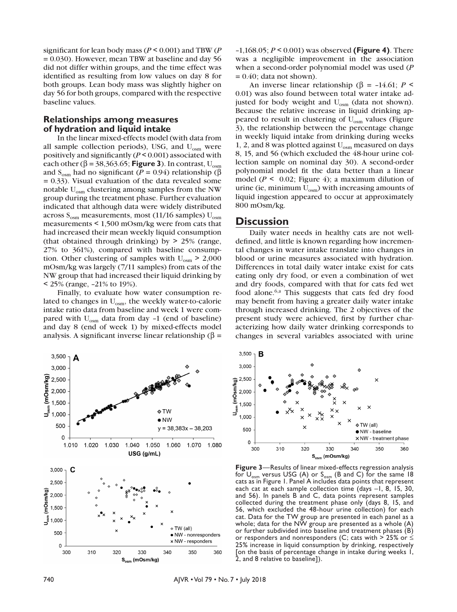significant for lean body mass (*P* < 0.001) and TBW (*P* = 0.030). However, mean TBW at baseline and day 56 did not differ within groups, and the time effect was identified as resulting from low values on day 8 for both groups. Lean body mass was slightly higher on day 56 for both groups, compared with the respective baseline values.

### **Relationships among measures of hydration and liquid intake**

In the linear mixed-effects model (with data from all sample collection periods), USG, and  $U_{\text{osm}}$  were positively and significantly (*P* < 0.001) associated with each other ( $\beta$  = 38,363.65; **Figure 3**). In contrast, U<sub>osm</sub> and S<sub>osm</sub> had no significant (*P* = 0.94) relationship (β *=* 0.33). Visual evaluation of the data revealed some notable  $U_{\text{osm}}$  clustering among samples from the NW group during the treatment phase. Further evaluation indicated that although data were widely distributed across  $S_{\text{osm}}$  measurements, most (11/16 samples)  $U_{\text{osm}}$ measurements < 1,500 mOsm/kg were from cats that had increased their mean weekly liquid consumption (that obtained through drinking) by > 25% (range, 27% to 361%), compared with baseline consumption. Other clustering of samples with  $U_{osm}$  > 2,000 mOsm/kg was largely (7/11 samples) from cats of the NW group that had increased their liquid drinking by < 25% (range, –21% to 19%).

Finally, to evaluate how water consumption related to changes in  $U_{\text{osm}}$ , the weekly water-to-calorie intake ratio data from baseline and week 1 were compared with  $U_{osm}$  data from day -1 (end of baseline) and day 8 (end of week 1) by mixed-effects model analysis. A significant inverse linear relationship (β *=*



–1,168.05; *P* < 0.001) was observed **(Figure 4)**. There was a negligible improvement in the association when a second-order polynomial model was used (*P*  $= 0.40$ ; data not shown).

An inverse linear relationship (β =  $-14.61$ ; *P* < 0.01) was also found between total water intake adjusted for body weight and U<sub>osm</sub> (data not shown). Because the relative increase in liquid drinking appeared to result in clustering of  $U_{\text{osm}}$  values (Figure 3), the relationship between the percentage change in weekly liquid intake from drinking during weeks 1, 2, and 8 was plotted against  $U_{osm}$  measured on days 8, 15, and 56 (which excluded the 48-hour urine collection sample on nominal day 30). A second-order polynomial model fit the data better than a linear model ( $P \le 0.02$ ; Figure 4); a maximum dilution of urine (ie, minimum  $U_{osm}$ ) with increasing amounts of liquid ingestion appeared to occur at approximately 800 mOsm/kg.

# **Discussion**

Daily water needs in healthy cats are not welldefined, and little is known regarding how incremental changes in water intake translate into changes in blood or urine measures associated with hydration. Differences in total daily water intake exist for cats eating only dry food, or even a combination of wet and dry foods, compared with that for cats fed wet food alone.6,a This suggests that cats fed dry food may benefit from having a greater daily water intake through increased drinking. The 2 objectives of the present study were achieved, first by further characterizing how daily water drinking corresponds to changes in several variables associated with urine



**Figure 3**—Results of linear mixed-effects regression analysis for  $U_{\text{osm}}$  versus USG (A) or  $S_{\text{osm}}$  (B and C) for the same 18 cats as in Figure 1. Panel A includes data points that represent each cat at each sample collection time (days –1, 8, 15, 30, and 56). In panels B and C, data points represent samples collected during the treatment phase only (days 8, 15, and 56, which excluded the 48-hour urine collection) for each cat. Data for the TW group are presented in each panel as a whole; data for the NW group are presented as a whole  $(A)$ or further subdivided into baseline and treatment phases (B) or responders and nonresponders (C; cats with > 25% or  $\leq$ 25% increase in liquid consumption by drinking, respectively [on the basis of percentage change in intake during weeks 1, 2, and 8 relative to baseline]).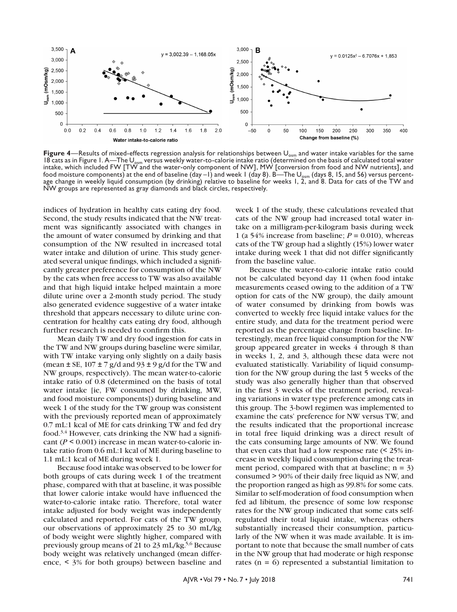

Figure 4—Results of mixed-effects regression analysis for relationships between U<sub>osm</sub> and water intake variables for the same 18 cats as in Figure 1. A—The U<sub>osm</sub> versus weekly water-to-calorie intake ratio (determined on the basis of calculated total water intake, which included FW [TW and the water-only component of NW], MW [conversion from food and NW nutrients], and food moisture components) at the end of baseline  $(day - 1)$  and week 1 (day 8). B—The U<sub>osm</sub> (days 8, 15, and 56) versus percentage change in weekly liquid consumption (by drinking) relative to baseline for weeks 1, 2, and 8. Data for cats of the TW and NW groups are represented as gray diamonds and black circles, respectively.

indices of hydration in healthy cats eating dry food. Second, the study results indicated that the NW treatment was significantly associated with changes in the amount of water consumed by drinking and that consumption of the NW resulted in increased total water intake and dilution of urine. This study generated several unique findings, which included a significantly greater preference for consumption of the NW by the cats when free access to TW was also available and that high liquid intake helped maintain a more dilute urine over a 2-month study period. The study also generated evidence suggestive of a water intake threshold that appears necessary to dilute urine concentration for healthy cats eating dry food, although further research is needed to confirm this.

Mean daily TW and dry food ingestion for cats in the TW and NW groups during baseline were similar, with TW intake varying only slightly on a daily basis (mean  $\pm$  SE, 107  $\pm$  7 g/d and 93  $\pm$  9 g/d for the TW and NW groups, respectively). The mean water-to-calorie intake ratio of 0.8 (determined on the basis of total water intake [ie, FW consumed by drinking, MW, and food moisture components]) during baseline and week 1 of the study for the TW group was consistent with the previously reported mean of approximately 0.7 mL:1 kcal of ME for cats drinking TW and fed dry food.<sup>3,4</sup> However, cats drinking the NW had a significant (*P* < 0.001) increase in mean water-to-calorie intake ratio from 0.6 mL:1 kcal of ME during baseline to 1.1 mL:1 kcal of ME during week 1.

Because food intake was observed to be lower for both groups of cats during week 1 of the treatment phase, compared with that at baseline, it was possible that lower calorie intake would have influenced the water-to-calorie intake ratio. Therefore, total water intake adjusted for body weight was independently calculated and reported. For cats of the TW group, our observations of approximately 25 to 30 mL/kg of body weight were slightly higher, compared with previously group means of 21 to 23 mL/kg.<sup>5,6</sup> Because body weight was relatively unchanged (mean difference, < 3% for both groups) between baseline and week 1 of the study, these calculations revealed that cats of the NW group had increased total water intake on a milligram-per-kilogram basis during week 1 (a 54% increase from baseline;  $P = 0.010$ ), whereas cats of the TW group had a slightly (15%) lower water intake during week 1 that did not differ significantly from the baseline value.

Because the water-to-calorie intake ratio could not be calculated beyond day 11 (when food intake measurements ceased owing to the addition of a TW option for cats of the NW group), the daily amount of water consumed by drinking from bowls was converted to weekly free liquid intake values for the entire study, and data for the treatment period were reported as the percentage change from baseline. Interestingly, mean free liquid consumption for the NW group appeared greater in weeks 4 through 8 than in weeks 1, 2, and 3, although these data were not evaluated statistically. Variability of liquid consumption for the NW group during the last 5 weeks of the study was also generally higher than that observed in the first 3 weeks of the treatment period, revealing variations in water type preference among cats in this group. The 3-bowl regimen was implemented to examine the cats' preference for NW versus TW, and the results indicated that the proportional increase in total free liquid drinking was a direct result of the cats consuming large amounts of NW. We found that even cats that had a low response rate (< 25% increase in weekly liquid consumption during the treatment period, compared with that at baseline;  $n = 3$ ) consumed > 90% of their daily free liquid as NW, and the proportion ranged as high as 99.8% for some cats. Similar to self-moderation of food consumption when fed ad libitum, the presence of some low response rates for the NW group indicated that some cats selfregulated their total liquid intake, whereas others substantially increased their consumption, particularly of the NW when it was made available. It is important to note that because the small number of cats in the NW group that had moderate or high response rates ( $n = 6$ ) represented a substantial limitation to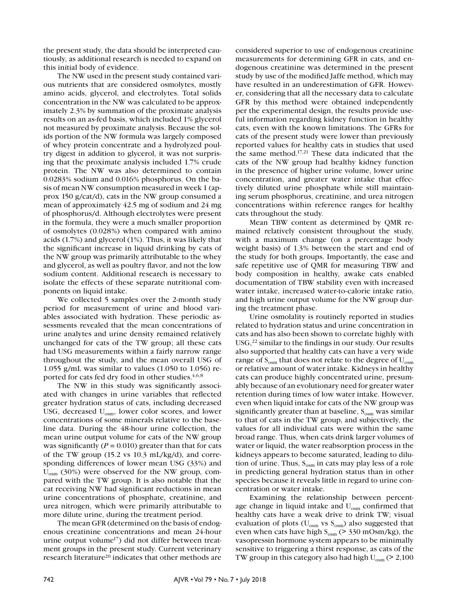the present study, the data should be interpreted cautiously, as additional research is needed to expand on this initial body of evidence.

The NW used in the present study contained various nutrients that are considered osmolytes, mostly amino acids, glycerol, and electrolytes. Total solids concentration in the NW was calculated to be approximately 2.3% by summation of the proximate analysis results on an as-fed basis, which included 1% glycerol not measured by proximate analysis. Because the solids portion of the NW formula was largely composed of whey protein concentrate and a hydrolyzed poultry digest in addition to glycerol, it was not surprising that the proximate analysis included 1.7% crude protein. The NW was also determined to contain 0.0283% sodium and 0.016% phosphorus. On the basis of mean NW consumption measured in week 1 (approx 150 g/cat/d), cats in the NW group consumed a mean of approximately 42.5 mg of sodium and 24 mg of phosphorus/d. Although electrolytes were present in the formula, they were a much smaller proportion of osmolytes (0.028%) when compared with amino acids (1.7%) and glycerol (1%). Thus, it was likely that the significant increase in liquid drinking by cats of the NW group was primarily attributable to the whey and glycerol, as well as poultry flavor, and not the low sodium content. Additional research is necessary to isolate the effects of these separate nutritional components on liquid intake.

We collected 5 samples over the 2-month study period for measurement of urine and blood variables associated with hydration. These periodic assessments revealed that the mean concentrations of urine analytes and urine density remained relatively unchanged for cats of the TW group; all these cats had USG measurements within a fairly narrow range throughout the study, and the mean overall USG of 1.055 g/mL was similar to values (1.050 to 1.056) reported for cats fed dry food in other studies.<sup>4,6,8</sup>

The NW in this study was significantly associated with changes in urine variables that reflected greater hydration status of cats, including decreased USG, decreased U<sub>osm</sub>, lower color scores, and lower concentrations of some minerals relative to the baseline data. During the 48-hour urine collection, the mean urine output volume for cats of the NW group was significantly  $(P = 0.010)$  greater than that for cats of the TW group (15.2 vs 10.3 mL/kg/d), and corresponding differences of lower mean USG (33%) and Uosm (30%) were observed for the NW group, compared with the TW group. It is also notable that the cat receiving NW had significant reductions in mean urine concentrations of phosphate, creatinine, and urea nitrogen, which were primarily attributable to more dilute urine, during the treatment period.

The mean GFR (determined on the basis of endogenous creatinine concentrations and mean 24-hour urine output volume<sup>17</sup>) did not differ between treatment groups in the present study. Current veterinary research literature<sup>20</sup> indicates that other methods are considered superior to use of endogenous creatinine measurements for determining GFR in cats, and endogenous creatinine was determined in the present study by use of the modified Jaffe method, which may have resulted in an underestimation of GFR. However, considering that all the necessary data to calculate GFR by this method were obtained independently per the experimental design, the results provide useful information regarding kidney function in healthy cats, even with the known limitations. The GFRs for cats of the present study were lower than previously reported values for healthy cats in studies that used the same method.17,21 These data indicated that the cats of the NW group had healthy kidney function in the presence of higher urine volume, lower urine concentration, and greater water intake that effectively diluted urine phosphate while still maintaining serum phosphorus, creatinine, and urea nitrogen concentrations within reference ranges for healthy cats throughout the study.

Mean TBW content as determined by QMR remained relatively consistent throughout the study, with a maximum change (on a percentage body weight basis) of 1.3% between the start and end of the study for both groups. Importantly, the ease and safe repetitive use of QMR for measuring TBW and body composition in healthy, awake cats enabled documentation of TBW stability even with increased water intake, increased water-to-calorie intake ratio, and high urine output volume for the NW group during the treatment phase.

Urine osmolality is routinely reported in studies related to hydration status and urine concentration in cats and has also been shown to correlate highly with USG,<sup>22</sup> similar to the findings in our study. Our results also supported that healthy cats can have a very wide range of  $S_{\text{osm}}$  that does not relate to the degree of  $U_{\text{osm}}$ or relative amount of water intake. Kidneys in healthy cats can produce highly concentrated urine, presumably because of an evolutionary need for greater water retention during times of low water intake. However, even when liquid intake for cats of the NW group was significantly greater than at baseline,  $S_{\text{osm}}$  was similar to that of cats in the TW group, and subjectively, the values for all individual cats were within the same broad range. Thus, when cats drink larger volumes of water or liquid, the water reabsorption process in the kidneys appears to become saturated, leading to dilution of urine. Thus,  $S_{\text{osm}}$  in cats may play less of a role in predicting general hydration status than in other species because it reveals little in regard to urine concentration or water intake.

Examining the relationship between percentage change in liquid intake and  $U_{\text{osm}}$  confirmed that healthy cats have a weak drive to drink TW; visual evaluation of plots ( $U_{\text{osm}}$  vs  $S_{\text{osm}}$ ) also suggested that even when cats have high  $S_{\text{osm}}$  (> 330 mOsm/kg), the vasopressin hormone system appears to be minimally sensitive to triggering a thirst response, as cats of the TW group in this category also had high  $U_{osm}$  (> 2,100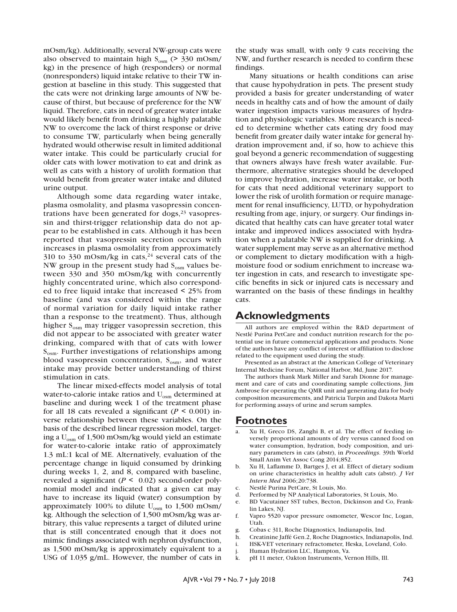mOsm/kg). Additionally, several NW-group cats were also observed to maintain high  $S_{\text{osm}}$  (> 330 mOsm/ kg) in the presence of high (responders) or normal (nonresponders) liquid intake relative to their TW ingestion at baseline in this study. This suggested that the cats were not drinking large amounts of NW because of thirst, but because of preference for the NW liquid. Therefore, cats in need of greater water intake would likely benefit from drinking a highly palatable NW to overcome the lack of thirst response or drive to consume TW, particularly when being generally hydrated would otherwise result in limited additional water intake. This could be particularly crucial for older cats with lower motivation to eat and drink as well as cats with a history of urolith formation that would benefit from greater water intake and diluted urine output.

Although some data regarding water intake, plasma osmolality, and plasma vasopressin concentrations have been generated for  $\log s$ ,<sup>23</sup> vasopressin and thirst-trigger relationship data do not appear to be established in cats. Although it has been reported that vasopressin secretion occurs with increases in plasma osmolality from approximately 310 to 330 mOsm/kg in cats, $24$  several cats of the NW group in the present study had  $S_{\text{osm}}$  values between 330 and 350 mOsm/kg with concurrently highly concentrated urine, which also corresponded to free liquid intake that increased < 25% from baseline (and was considered within the range of normal variation for daily liquid intake rather than a response to the treatment). Thus, although higher  $S_{\text{osm}}$  may trigger vasopressin secretion, this did not appear to be associated with greater water drinking, compared with that of cats with lower  $S_{\text{osm}}$ . Further investigations of relationships among blood vasopressin concentration,  $S_{\text{osm}}$ , and water intake may provide better understanding of thirst stimulation in cats.

The linear mixed-effects model analysis of total water-to-calorie intake ratios and U<sub>osm</sub> determined at baseline and during week 1 of the treatment phase for all 18 cats revealed a significant ( $P \le 0.001$ ) inverse relationship between these variables. On the basis of the described linear regression model, targeting a  $U_{\text{osm}}$  of 1,500 mOsm/kg would yield an estimate for water-to-calorie intake ratio of approximately 1.3 mL:1 kcal of ME. Alternatively, evaluation of the percentage change in liquid consumed by drinking during weeks 1, 2, and 8, compared with baseline, revealed a significant (*P <* 0.02) second-order polynomial model and indicated that a given cat may have to increase its liquid (water) consumption by approximately 100% to dilute  $U_{osm}$  to 1,500 mOsm/ kg. Although the selection of 1,500 mOsm/kg was arbitrary, this value represents a target of diluted urine that is still concentrated enough that it does not mimic findings associated with nephron dysfunction, as 1,500 mOsm/kg is approximately equivalent to a USG of 1.035 g/mL. However, the number of cats in

the study was small, with only 9 cats receiving the NW, and further research is needed to confirm these findings.

Many situations or health conditions can arise that cause hypohydration in pets. The present study provided a basis for greater understanding of water needs in healthy cats and of how the amount of daily water ingestion impacts various measures of hydration and physiologic variables. More research is needed to determine whether cats eating dry food may benefit from greater daily water intake for general hydration improvement and, if so, how to achieve this goal beyond a generic recommendation of suggesting that owners always have fresh water available. Furthermore, alternative strategies should be developed to improve hydration, increase water intake, or both for cats that need additional veterinary support to lower the risk of urolith formation or require management for renal insufficiency, LUTD, or hypohydration resulting from age, injury, or surgery. Our findings indicated that healthy cats can have greater total water intake and improved indices associated with hydration when a palatable NW is supplied for drinking. A water supplement may serve as an alternative method or complement to dietary modification with a highmoisture food or sodium enrichment to increase water ingestion in cats, and research to investigate specific benefits in sick or injured cats is necessary and warranted on the basis of these findings in healthy cats.

# **Acknowledgments**

All authors are employed within the R&D department of Nestlé Purina PetCare and conduct nutrition research for the potential use in future commercial applications and products. None of the authors have any conflict of interest or affiliation to disclose related to the equipment used during the study.

Presented as an abstract at the American College of Veterinary Internal Medicine Forum, National Harbor, Md, June 2017.

The authors thank Mark Miller and Sarah Dionne for management and care of cats and coordinating sample collections, Jim Ambrose for operating the QMR unit and generating data for body composition measurements, and Patricia Turpin and Dakota Marti for performing assays of urine and serum samples.

# **Footnotes**

- Xu H, Greco DS, Zanghi B, et al. The effect of feeding inversely proportional amounts of dry versus canned food on water consumption, hydration, body composition, and urinary parameters in cats (abstr), in *Proceedings*. 39th World Small Anim Vet Assoc Cong 2014;852.
- b. Xu H, Laflamme D, Bartges J, et al. Effect of dietary sodium on urine characteristics in healthy adult cats (abstr). *J Vet Intern Med* 2006;20:738.
- c. Nestlé Purina PetCare, St Louis, Mo.
- d. Performed by NP Analytical Laboratories, St Louis, Mo.
- e. BD Vacutainer SST tubes, Becton, Dickinson and Co, Franklin Lakes, NJ.
- f. Vapro 5520 vapor pressure osmometer, Wescor Inc, Logan, Utah.
- g. Cobas c 311, Roche Diagnostics, Indianapolis, Ind.
- h. Creatinine Jaffé Gen.2, Roche Diagnostics, Indianapolis, Ind.
- i. HSK-VET veterinary refractometer, Heska, Loveland, Colo.
- j. Human Hydration LLC, Hampton, Va.
- k. pH 11 meter, Oakton Instruments, Vernon Hills, Ill.